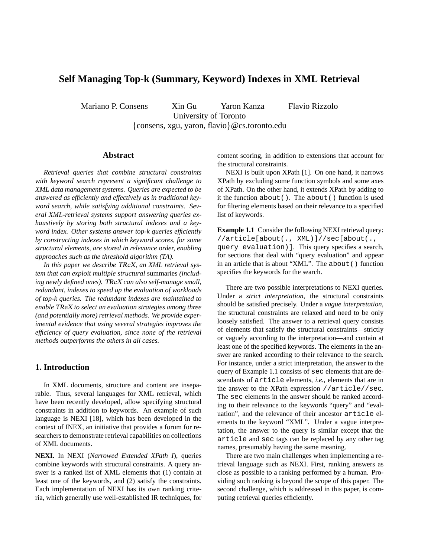# **Self Managing Top-k (Summary, Keyword) Indexes in XML Retrieval**

Mariano P. Consens Xin Gu Yaron Kanza Flavio Rizzolo

University of Toronto

{consens, xgu, yaron, flavio}@cs.toronto.edu

# **Abstract**

*Retrieval queries that combine structural constraints with keyword search represent a significant challenge to XML data management systems. Queries are expected to be answered as efficiently and effectively as in traditional keyword search, while satisfying additional constraints. Several XML-retrieval systems support answering queries exhaustively by storing both structural indexes and a keyword index. Other systems answer top-k queries efficiently by constructing indexes in which keyword scores, for some structural elements, are stored in relevance order, enabling approaches such as the threshold algorithm (TA).*

*In this paper we describe* TReX*, an XML retrieval system that can exploit multiple structural* summaries *(including newly defined ones).* TReX *can also self-manage small, redundant, indexes to speed up the evaluation of workloads of top-k queries. The redundant indexes are maintained to enable* TReX *to select an evaluation strategies among three (and potentially more) retrieval methods. We provide experimental evidence that using several strategies improves the efficiency of query evaluation, since none of the retrieval methods outperforms the others in all cases.*

# **1. Introduction**

In XML documents, structure and content are inseparable. Thus, several languages for XML retrieval, which have been recently developed, allow specifying structural constraints in addition to keywords. An example of such language is NEXI [18], which has been developed in the context of INEX, an initiative that provides a forum for researchers to demonstrate retrieval capabilities on collections of XML documents.

**NEXI.** In NEXI (*Narrowed Extended XPath I*), queries combine keywords with structural constraints. A query answer is a ranked list of XML elements that (1) contain at least one of the keywords, and (2) satisfy the constraints. Each implementation of NEXI has its own ranking criteria, which generally use well-established IR techniques, for content scoring, in addition to extensions that account for the structural constraints.

NEXI is built upon XPath [1]. On one hand, it narrows XPath by excluding some function symbols and some axes of XPath. On the other hand, it extends XPath by adding to it the function about(). The about() function is used for filtering elements based on their relevance to a specified list of keywords.

**Example 1.1** Consider the following NEXI retrieval query: //article[about(., XML)]//sec[about(., query evaluation)]. This query specifies a search, for sections that deal with "query evaluation" and appear in an article that is about "XML". The about() function specifies the keywords for the search.

There are two possible interpretations to NEXI queries. Under a *strict interpretation*, the structural constraints should be satisfied precisely. Under a *vague interpretation*, the structural constraints are relaxed and need to be only loosely satisfied. The answer to a retrieval query consists of elements that satisfy the structural constraints—strictly or vaguely according to the interpretation—and contain at least one of the specified keywords. The elements in the answer are ranked according to their relevance to the search. For instance, under a strict interpretation, the answer to the query of Example 1.1 consists of sec elements that are descendants of article elements, *i.e.,* elements that are in the answer to the XPath expression //article//sec. The sec elements in the answer should be ranked according to their relevance to the keywords "query" and "evaluation", and the relevance of their ancestor article elements to the keyword "XML". Under a vague interpretation, the answer to the query is similar except that the article and sec tags can be replaced by any other tag names, presumably having the same meaning.

There are two main challenges when implementing a retrieval language such as NEXI. First, ranking answers as close as possible to a ranking performed by a human. Providing such ranking is beyond the scope of this paper. The second challenge, which is addressed in this paper, is computing retrieval queries efficiently.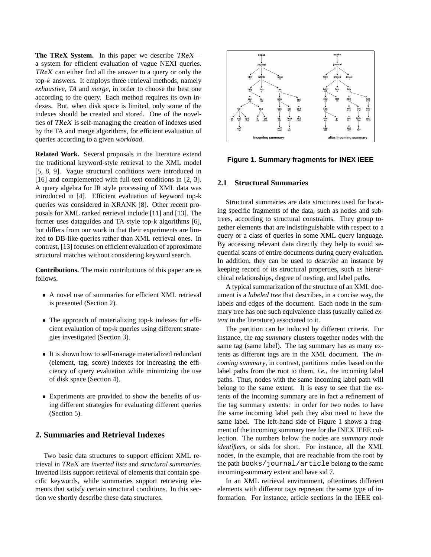**The TReX System.** In this paper we describe TReX a system for efficient evaluation of vague NEXI queries. TReX can either find all the answer to a query or only the top- $k$  answers. It employs three retrieval methods, namely *exhaustive*, *TA* and *merge*, in order to choose the best one according to the query. Each method requires its own indexes. But, when disk space is limited, only some of the indexes should be created and stored. One of the novelties of TReX is self-managing the creation of indexes used by the TA and merge algorithms, for efficient evaluation of queries according to a given *workload*.

**Related Work.** Several proposals in the literature extend the traditional keyword-style retrieval to the XML model [5, 8, 9]. Vague structural conditions were introduced in [16] and complemented with full-text conditions in [2, 3]. A query algebra for IR style processing of XML data was introduced in [4]. Efficient evaluation of keyword top-k queries was considered in XRANK [8]. Other recent proposals for XML ranked retrieval include [11] and [13]. The former uses dataguides and TA-style top-k algorithms [6], but differs from our work in that their experiments are limited to DB-like queries rather than XML retrieval ones. In contrast, [13] focuses on efficient evaluation of approximate structural matches without considering keyword search.

**Contributions.** The main contributions of this paper are as follows.

- A novel use of summaries for efficient XML retrieval is presented (Section 2).
- The approach of materializing top-k indexes for efficient evaluation of top-k queries using different strategies investigated (Section 3).
- It is shown how to self-manage materialized redundant (element, tag, score) indexes for increasing the efficiency of query evaluation while minimizing the use of disk space (Section 4).
- Experiments are provided to show the benefits of using different strategies for evaluating different queries (Section 5).

# **2. Summaries and Retrieval Indexes**

Two basic data structures to support efficient XML retrieval in TReX are *inverted lists* and *structural summaries*. Inverted lists support retrieval of elements that contain specific keywords, while summaries support retrieving elements that satisfy certain structural conditions. In this section we shortly describe these data structures.



#### **Figure 1. Summary fragments for INEX IEEE**

### **2.1 Structural Summaries**

Structural summaries are data structures used for locating specific fragments of the data, such as nodes and subtrees, according to structural constraints. They group together elements that are indistinguishable with respect to a query or a class of queries in some XML query language. By accessing relevant data directly they help to avoid sequential scans of entire documents during query evaluation. In addition, they can be used to *describe* an instance by keeping record of its structural properties, such as hierarchical relationships, degree of nesting, and label paths.

A typical summarization of the structure of an XML document is a *labeled tree* that describes, in a concise way, the labels and edges of the document. Each node in the summary tree has one such equivalence class (usually called *extent* in the literature) associated to it.

The partition can be induced by different criteria. For instance, the *tag summary* clusters together nodes with the same tag (same label). The tag summary has as many extents as different tags are in the XML document. The *incoming summary*, in contrast, partitions nodes based on the label paths from the root to them, *i.e.*, the incoming label paths. Thus, nodes with the same incoming label path will belong to the same extent. It is easy to see that the extents of the incoming summary are in fact a refinement of the tag summary extents: in order for two nodes to have the same incoming label path they also need to have the same label. The left-hand side of Figure 1 shows a fragment of the incoming summary tree for the INEX IEEE collection. The numbers below the nodes are *summary node identifiers*, or sids for short. For instance, all the XML nodes, in the example, that are reachable from the root by the path books/journal/article belong to the same incoming-summary extent and have sid 7.

In an XML retrieval environment, oftentimes different elements with different tags represent the same type of information. For instance, article sections in the IEEE col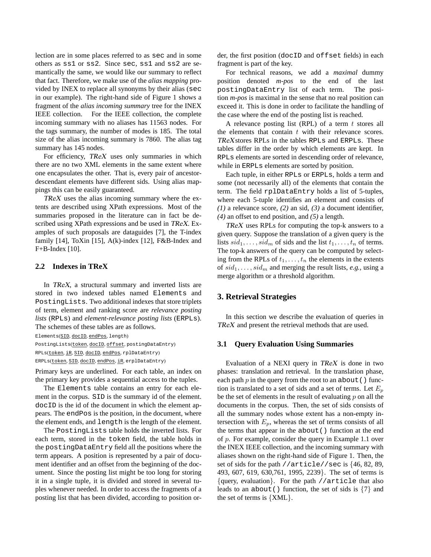lection are in some places referred to as sec and in some others as ss1 or ss2. Since sec, ss1 and ss2 are semantically the same, we would like our summary to reflect that fact. Therefore, we make use of the *alias mapping* provided by INEX to replace all synonyms by their alias (sec in our example). The right-hand side of Figure 1 shows a fragment of the *alias incoming summary* tree for the INEX IEEE collection. For the IEEE collection, the complete incoming summary with no aliases has 11563 nodes. For the tags summary, the number of modes is 185. The total size of the alias incoming summary is 7860. The alias tag summary has 145 nodes.

For efficiency, TReX uses only summaries in which there are no two XML elements in the same extent where one encapsulates the other. That is, every pair of ancestordescendant elements have different sids. Using alias mappings this can be easily guaranteed.

TReX uses the alias incoming summary where the extents are described using XPath expressions. Most of the summaries proposed in the literature can in fact be described using XPath expressions and be used in TReX. Examples of such proposals are dataguides [7], the T-index family [14], ToXin [15],  $A(k)$ -index [12], F&B-Index and F+B-Index [10].

### **2.2 Indexes in TReX**

In TReX, a structural summary and inverted lists are stored in two indexed tables named Elements and PostingLists. Two additional indexes that store triplets of term, element and ranking score are *relevance posting lists* (RPLs) and *element-relevance posting lists* (ERPLs). The schemes of these tables are as follows.

Elements(SID, docID, endPos, length)

PostingLists(token, docID, offset, postingDataEntry)

RPLs(token, iR, SID, docID, endPos, rplDataEntry)

ERPLs(token, SID, docID, endPos, iR, erplDataEntry)

Primary keys are underlined. For each table, an index on the primary key provides a sequential access to the tuples.

The Elements table contains an entry for each element in the corpus. SID is the summary id of the element. docID is the id of the document in which the element appears. The endPos is the position, in the document, where the element ends, and length is the length of the element.

The PostingLists table holds the inverted lists. For each term, stored in the token field, the table holds in the postingDataEntry field all the positions where the term appears. A position is represented by a pair of document identifier and an offset from the beginning of the document. Since the posting list might be too long for storing it in a single tuple, it is divided and stored in several tuples whenever needed. In order to access the fragments of a posting list that has been divided, according to position order, the first position (docID and offset fields) in each fragment is part of the key.

For technical reasons, we add a *maximal* dummy position denoted *m-pos* to the end of the last postingDataEntry list of each term. The position *m-pos* is maximal in the sense that no real position can exceed it. This is done in order to facilitate the handling of the case where the end of the posting list is reached.

A relevance posting list (RPL) of a term  $t$  stores all the elements that contain  $t$  with their relevance scores. TReXstores RPLs in the tables RPLs and ERPLs. These tables differ in the order by which elements are kept. In RPLs elements are sorted in descending order of relevance, while in ERPLs elements are sorted by position.

Each tuple, in either RPLs or ERPLs, holds a term and some (not necessarily all) of the elements that contain the term. The field rplDataEntry holds a list of 5-tuples, where each 5-tuple identifies an element and consists of *(1)* a relevance score, *(2)* an sid, *(3)* a document identifier, *(4)* an offset to end position, and *(5)* a length.

TReX uses RPLs for computing the top-k answers to a given query. Suppose the translation of a given query is the lists  $sid_1, \ldots, sid_m$  of sids and the list  $t_1, \ldots, t_n$  of terms. The top-k answers of the query can be computed by selecting from the RPLs of  $t_1, \ldots, t_n$  the elements in the extents of  $sid_1, \ldots, sid_m$  and merging the result lists, *e.g.*, using a merge algorithm or a threshold algorithm.

### **3. Retrieval Strategies**

In this section we describe the evaluation of queries in TReX and present the retrieval methods that are used.

### **3.1 Query Evaluation Using Summaries**

Evaluation of a NEXI query in TReX is done in two phases: translation and retrieval. In the translation phase, each path  $p$  in the query from the root to an about () function is translated to a set of sids and a set of terms. Let  $E_p$ be the set of elements in the result of evaluating  $p$  on all the documents in the corpus. Then, the set of sids consists of all the summary nodes whose extent has a non-empty intersection with  $E_p$ , whereas the set of terms consists of all the terms that appear in the about() function at the end of p. For example, consider the query in Example 1.1 over the INEX IEEE collection, and the incoming summary with aliases shown on the right-hand side of Figure 1. Then, the set of sids for the path //article//sec is {46, 82, 89, 493, 607, 619, 630,761, 1995, 2239}. The set of terms is {query, evaluation}. For the path //article that also leads to an about () function, the set of sids is  $\{7\}$  and the set of terms is  ${XML}$ .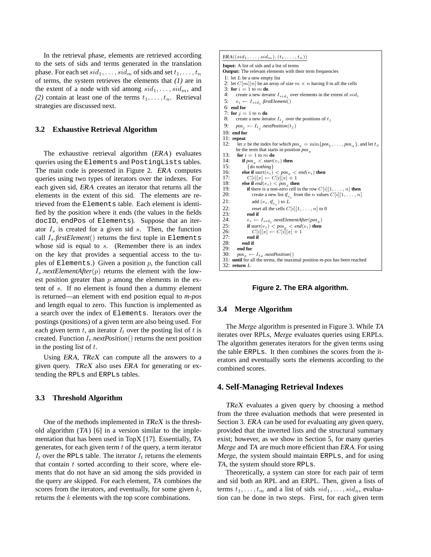In the retrieval phase, elements are retrieved according to the sets of sids and terms generated in the translation phase. For each set  $sid_1, \ldots, sid_m$  of sids and set  $t_1, \ldots, t_n$ of terms, the system retrieves the elements that *(1)* are in the extent of a node with sid among  $sid_1, \ldots, sid_m$ , and (2) contain at least one of the terms  $t_1, \ldots, t_n$ . Retrieval strategies are discussed next.

### **3.2 Exhaustive Retrieval Algorithm**

The exhaustive retrieval algorithm (ERA) evaluates queries using the Elements and PostingLists tables. The main code is presented in Figure 2. ERA computes queries using two types of iterators over the indexes. For each given sid, ERA creates an iterator that returns all the elements in the extent of this sid. The elements are retrieved from the Elements table. Each element is identified by the position where it ends (the values in the fields docID, endPos of Elements). Suppose that an iterator  $I_s$  is created for a given sid s. Then, the function call  $I_s$ *firstElement*() returns the first tuple in Elements whose sid is equal to s. (Remember there is an index on the key that provides a sequential access to the tuples of Elements.) Given a position  $p$ , the function call  $I_s.nextElementAfter(p)$  returns the element with the lowest position greater than  $p$  among the elements in the extent of s. If no element is found then a dummy element is returned—an element with end position equal to *m-pos* and length equal to zero. This function is implemented as a search over the index of Elements. Iterators over the postings (positions) of a given term are also being used. For each given term t, an iterator  $I_t$  over the posting list of t is created. Function  $I_t.nextPosition()$  returns the next position in the posting list of  $t$ .

Using ERA, TReX can compute all the answers to a given query. TReX also uses ERA for generating or extending the RPLs and ERPLs tables.

### **3.3 Threshold Algorithm**

One of the methods implemented in TReX is the threshold algorithm (TA) [6] in a version similar to the implementation that has been used in TopX [17]. Essentially, TA generates, for each given term  $t$  of the query, a term iterator  $I_t$  over the RPLs table. The iterator  $I_t$  returns the elements that contain  $t$  sorted according to their score, where elements that do not have an sid among the sids provided in the query are skipped. For each element, TA combines the scores from the iterators, and eventually, for some given  $k$ , returns the k elements with the top score combinations.

```
ERA((sid_1, \ldots, sid_m), (t_1, \ldots, t_n))Input: A list of sids and a list of terms
Output: The relevant elements with their term frequencies
 1: let L be a new empty list
 2: let C[m][n] be an array of size m \times n having 0 in all the cells
 3: for i = 1 to m do
  4: create a new iterator I_{sid_i} over elements in the extent of sid_i5: e_i \leftarrow I_{sid_i}.firstElement()6: end for
 7: for j = 1 to n do
  8: create a new iterator I_{t_j} over the positions of t_j9: pos_j \leftarrow I_{t_j} .nextPosition(t_j)
10: end for
11: repeat<br>12: let x12: let x be the index for which pos_x = min\{pos_1, \ldots, pos_n\}, and let t_xbe the term that starts in position pos_x13: for i = 1 to m do<br>14: if nos < start(
14: if pos_x < start(e_i) then<br>15: {do nothing}
15: {do nothing}<br>16: else if start(e_i)
 16: else if start(e_i) < pos_x < end(e_i) then<br>
17: C[i][x] \leftarrow C[i][x] + 118: else if end(e_i) < pos_x then<br>19: if there is a non-zero cell in
19: if there is a non-zero cell in the row C[i][1, \ldots, n] then<br>20: create a new list f_e, from the n values C[i][1, \ldots, n]20: create a new list f_{e_i} from the n values C[i][1, \ldots, n]21: add (e_i, f_{e_i}) to L
22: reset all the cells C[i][1, \ldots, n] to 0<br>23: end if
23: end if<br>24: e_i \leftarrow24: e_i \leftarrow I_{sid_i}.nextElementAfter(pos_x)
25: if \text{start}(e_i) < \text{pos}_x < \text{end}(e_i) then<br>26: C[i][x] \leftarrow C[i][x] + 1<br>27: end if
                  C[i][x] \leftarrow C[i][x] + 127: end if
28: end if
29: end for<br>30: pos_{n} \leftarrow30: pos_x \leftarrow I_{t_x}.nextPosition()31: until for all the terms, the maximal position m-pos has been reached
32: return L
```


#### **3.4 Merge Algorithm**

The Merge algorithm is presented in Figure 3. While TA iterates over RPLs, Merge evaluates queries using ERPLs. The algorithm generates iterators for the given terms using the table ERPLs. It then combines the scores from the iterators and eventually sorts the elements according to the combined scores.

### **4. Self-Managing Retrieval Indexes**

TReX evaluates a given query by choosing a method from the three evaluation methods that were presented in Section 3. ERA can be used for evaluating any given query, provided that the inverted lists and the structural summary exist; however, as we show in Section 5, for many queries Merge and TA are much more efficient than ERA. For using Merge, the system should maintain ERPLs, and for using TA, the system should store RPLs.

Theoretically, a system can store for each pair of term and sid both an RPL and an ERPL. Then, given a lists of terms  $t_1, \ldots, t_m$  and a list of sids  $sid_1, \ldots, sid_n$ , evaluation can be done in two steps. First, for each given term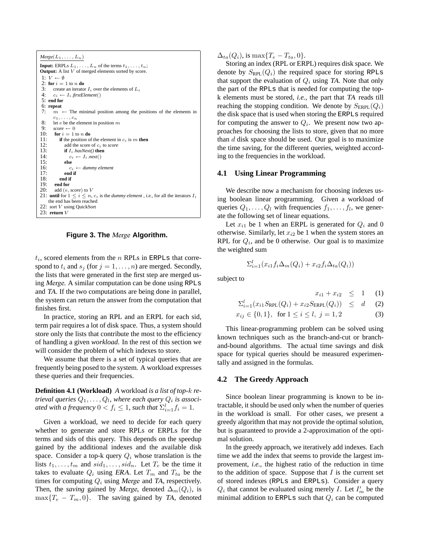

**Figure 3. The** Merge **Algorithm.**

 $t_i$ , scored elements from the *n* RPLs in ERPLs that correspond to  $t_i$  and  $s_j$  (for  $j = 1, \ldots, n$ ) are merged. Secondly, the lists that were generated in the first step are merged using Merge. A similar computation can be done using RPLs and TA. If the two computations are being done in parallel, the system can return the answer from the computation that finishes first.

In practice, storing an RPL and an ERPL for each sid, term pair requires a lot of disk space. Thus, a system should store only the lists that contribute the most to the efficiency of handling a given *workload*. In the rest of this section we will consider the problem of which indexes to store.

We assume that there is a set of typical queries that are frequently being posed to the system. A workload expresses these queries and their frequencies.

**Definition 4.1 (Workload)** *A* workload *is a list of top-*k *re*trieval queries  $Q_1, \ldots, Q_l$ , where each query  $Q_i$  is associated with a frequency  $0 < f_i \leq 1$ , such that  $\Sigma_{i=1}^l f_i = 1$ .

Given a workload, we need to decide for each query whether to generate and store RPLs or ERPLs for the terms and sids of this query. This depends on the speedup gained by the additional indexes and the available disk space. Consider a top-k query  $Q_i$  whose translation is the lists  $t_1, \ldots, t_m$  and  $sid_1, \ldots, sid_n$ . Let  $T_e$  be the time it takes to evaluate  $Q_i$  using ERA. Let  $T_m$  and  $T_{ta}$  be the times for computing  $Q_i$  using Merge and TA, respectively. Then, the *saving* gained by Merge, denoted  $\Delta_m(Q_i)$ , is  $\max\{T_e - T_m, 0\}$ . The saving gained by TA, denoted

 $\Delta_{ta}(Q_i)$ , is max $\{T_e - T_{ta}, 0\}.$ 

Storing an index (RPL or ERPL) requires disk space. We denote by  $S_{\text{RPL}}(Q_i)$  the required space for storing RPLs that support the evaluation of  $Q_i$  using TA. Note that only the part of the RPLs that is needed for computing the topk elements must be stored, *i.e.,* the part that TA reads till reaching the stopping condition. We denote by  $S_{\text{ERPL}}(Q_i)$ the disk space that is used when storing the ERPLs required for computing the answer to  $Q_i$ . We present now two approaches for choosing the lists to store, given that no more than  $d$  disk space should be used. Our goal is to maximize the time saving, for the different queries, weighted according to the frequencies in the workload.

### **4.1 Using Linear Programming**

We describe now a mechanism for choosing indexes using boolean linear programming. Given a workload of queries  $Q_1, \ldots, Q_l$  with frequencies  $f_1, \ldots, f_l$ , we generate the following set of linear equations.

Let  $x_{i1}$  be 1 when an ERPL is generated for  $Q_i$  and 0 otherwise. Similarly, let  $x_{i2}$  be 1 when the system stores an RPL for  $Q_i$ , and be 0 otherwise. Our goal is to maximize the weighted sum

$$
\Sigma_{i=1}^l (x_{i1} f_i \Delta_m(Q_i) + x_{i2} f_i \Delta_{ta}(Q_i))
$$

subject to

$$
x_{i1} + x_{i2} \leq 1 \quad (1)
$$

$$
\Sigma_{i=1}^{l}(x_{i1}S_{\text{RPL}}(Q_i) + x_{i2}S_{\text{ERPL}}(Q_i)) \leq d \quad (2)
$$

$$
x_{ij} \in \{0, 1\}, \text{ for } 1 \le i \le l, j = 1, 2 \tag{3}
$$

This linear-programming problem can be solved using known techniques such as the branch-and-cut or branchand-bound algorithms. The actual time savings and disk space for typical queries should be measured experimentally and assigned in the formulas.

### **4.2 The Greedy Approach**

Since boolean linear programming is known to be intractable, it should be used only when the number of queries in the workload is small. For other cases, we present a greedy algorithm that may not provide the optimal solution, but is guaranteed to provide a 2-approximation of the optimal solution.

In the greedy approach, we iteratively add indexes. Each time we add the index that seems to provide the largest improvement, *i.e.*, the highest ratio of the reduction in time to the addition of space. Suppose that  $I$  is the current set of stored indexes (RPLs and ERPLs). Consider a query  $Q_i$  that cannot be evaluated using merely I. Let  $I'_m$  be the minimal addition to ERPLs such that  $Q_i$  can be computed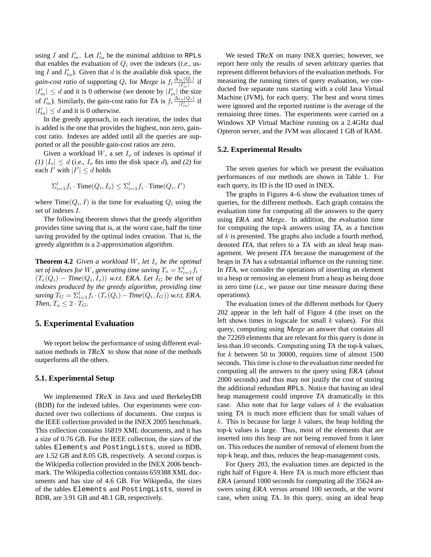using I and  $I'_m$ . Let  $I'_a$  be the minimal addition to RPLs that enables the evaluation of  $Q_i$  over the indexes (*i.e.*, using I and  $I'_{ta}$ ). Given that d is the available disk space, the *gain-cost ratio* of supporting  $Q_i$  for Merge is  $f_i \frac{\Delta_m(Q_i)}{|I_m'|}$  if  $|I'_m| \le d$  and it is 0 otherwise (we denote by  $|I'_m|$  the size of  $I'_m$ ). Similarly, the gain-cost ratio for TA is  $f_i \frac{\Delta_{ta}(Q_i)}{|I'_{ta}|}$  if  $|I'_{ta}| \le d$  and it is 0 otherwise.

In the greedy approach, in each iteration, the index that is added is the one that provides the highest, non zero, gaincost ratio. Indexes are added until all the queries are supported or all the possible gain-cost ratios are zero.

Given a workload  $W$ , a set  $I<sub>o</sub>$  of indexes is *optimal* if *(1)*  $|I_o| \le d$  *(i.e.,*  $I_o$  fits into the disk space d), and *(2)* for each I' with  $|I'| \le d$  holds

$$
\Sigma_{i=1}^l f_i \cdot \text{Time}(Q_i, I_o) \le \Sigma_{i=1}^l f_i \cdot \text{Time}(Q_i, I')
$$

where  $\text{Time}(Q_i, I)$  is the time for evaluating  $Q_i$  using the set of indexes I.

The following theorem shows that the greedy algorithm provides time saving that is, at the worst case, half the time saving provided by the optimal index creation. That is, the greedy algorithm is a 2-approximation algorithm.

**Theorem 4.2** *Given a workload* W, let  $I_o$  *be the optimal* set of indexes for  $W$ , generating time saving  $T_o = \Sigma_{i=1}^l f_i$  .  $(T_e(Q_i) - \text{Time}(Q_i, I_o))$  w.r.t. ERA. Let  $I_G$  be the set of *indexes produced by the greedy algorithm, providing time* saving  $T_G = \sum_{i=1}^l f_i \cdot (T_e(Q_i) - \text{Time}(Q_i, I_G))$  w.r.t. ERA. *Then,*  $T_o \leq 2 \cdot T_G$ .

### **5. Experimental Evaluation**

We report below the performance of using different evaluation methods in TReX to show that none of the methods outperforms all the others.

### **5.1. Experimental Setup**

We implemented TReX in Java and used BerkeleyDB (BDB) for the indexed tables. Our experiments were conducted over two collections of documents. One corpus is the IEEE collection provided in the INEX 2005 benchmark. This collection contains 16819 XML documents, and it has a size of 0.76 GB. For the IEEE collection, the sizes of the tables Elements and PostingLists, stored in BDB, are 1.52 GB and 8.05 GB, respectively. A second corpus is the Wikipedia collection provided in the INEX 2006 benchmark. The Wikipedia collection contains 659388 XML documents and has size of 4.6 GB. For Wikipedia, the sizes of the tables Elements and PostingLists, stored in BDB, are 3.91 GB and 48.1 GB, respectively.

We tested TReX on many INEX queries; however, we report here only the results of seven arbitrary queries that represent different behaviors of the evaluation methods. For measuring the running times of query evaluation, we conducted five separate runs starting with a cold Java Virtual Machine (JVM), for each query. The best and worst times were ignored and the reported runtime is the average of the remaining three times. The experiments were carried on a Windows XP Virtual Machine running on a 2.4GHz dual Opteron server, and the JVM was allocated 1 GB of RAM.

#### **5.2. Experimental Results**

The seven queries for which we present the evaluation performances of our methods are shown in Table 1. For each query, its ID is the ID used in INEX.

The graphs in Figures 4–6 show the evaluation times of queries, for the different methods. Each graph contains the evaluation time for computing all the answers to the query using ERA and Merge. In addition, the evaluation time for computing the top-k answers using TA, as a function of  $k$  is presented. The graphs also include a fourth method, denoted ITA, that refers to a TA with an ideal heap management. We present ITA because the management of the heaps in TA has a substantial influence on the running time. In ITA, we consider the operations of inserting an element to a heap or removing an element from a heap as being done in zero time (*i.e.,* we pause our time measure during these operations).

The evaluation times of the different methods for Query 202 appear in the left half of Figure 4 (the inset on the left shows times in logscale for small  $k$  values). For this query, computing using Merge an answer that contains all the 72269 elements that are relevant for this query is done in less than 10 seconds. Computing using TA the top-k values, for  $k$  between 50 to 30000, requires time of almost 1500 seconds. This time is close to the evaluation time needed for computing all the answers to the query using ERA (about 2000 seconds) and thus may not justify the cost of storing the additional redundant RPLs. Notice that having an ideal heap management could improve TA dramatically in this case. Also note that for large values of  $k$  the evaluation using TA is much more efficient than for small values of  $k$ . This is because for large  $k$  values, the heap holding the top-k values is large. Thus, most of the elements that are inserted into this heap are not being removed from it later on. This reduces the number of removal of element from the top-k heap, and thus, reduces the heap-management costs.

For Query 203, the evaluation times are depicted in the right half of Figure 4. Here TA is much more efficient than ERA (around 1000 seconds for computing all the 35624 answers using ERA versus around 100 seconds, at the worst case, when using TA. In this query, using an ideal heap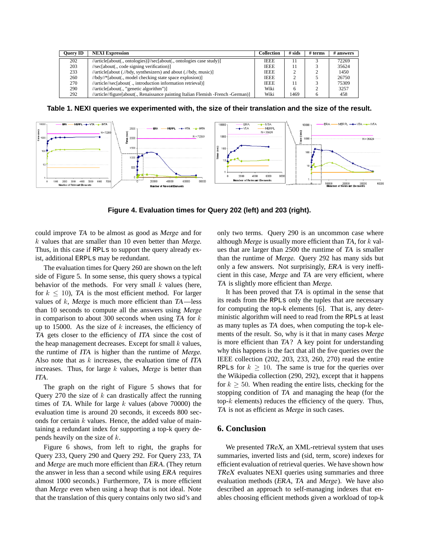| <b>Ouery ID</b> | <b>NEXI Expression</b>                                                            | Collection  | $#$ sids | # terms | # answers |
|-----------------|-----------------------------------------------------------------------------------|-------------|----------|---------|-----------|
| 202             | //article[about(., ontologies)]//sec[about(., ontologies case study)]             | <b>IEEE</b> |          |         | 72269     |
| 203             | $//\sec[\text{about}(., \text{code signing verification})]$                       | <b>IEEE</b> |          |         | 35624     |
| 233             | //article[about (.//bdy, synthesizers) and about (.//bdy, music)]                 | <b>IEEE</b> |          |         | 1450      |
| 260             | //bdy//*[about(., model checking state space explosion)]                          | <b>IEEE</b> |          |         | 26750     |
| 270             | //article//sec[about( ., introduction information retrieval)]                     | <b>IEEE</b> |          |         | 75309     |
| 290             | //article[about(., "genetic algorithm")]                                          | Wiki        |          |         | 3257      |
| 292             | //article//figure[about(., Renaissance painting Italian Flemish -French -German)] | Wiki        | 1469     | 6       | 458       |

**Table 1. NEXI queries we experimented with, the size of their translation and the size of the result.**



**Figure 4. Evaluation times for Query 202 (left) and 203 (right).**

could improve TA to be almost as good as Merge and for k values that are smaller than 10 even better than Merge. Thus, in this case if RPLs to support the query already exist, additional ERPLs may be redundant.

The evaluation times for Query 260 are shown on the left side of Figure 5. In some sense, this query shows a typical behavior of the methods. For very small  $k$  values (here, for  $k \le 10$ ), TA is the most efficient method. For larger values of  $k$ , Merge is much more efficient than TA—less than 10 seconds to compute all the answers using Merge in comparison to about 300 seconds when using  $TA$  for  $k$ up to 15000. As the size of  $k$  increases, the efficiency of TA gets closer to the efficiency of ITA since the cost of the heap management decreases. Except for small  $k$  values, the runtime of ITA is higher than the runtime of Merge. Also note that as  $k$  increases, the evaluation time of ITA increases. Thus, for large  $k$  values, Merge is better than ITA.

The graph on the right of Figure 5 shows that for Query 270 the size of  $k$  can drastically affect the running times of TA. While for large  $k$  values (above 70000) the evaluation time is around 20 seconds, it exceeds 800 seconds for certain  $k$  values. Hence, the added value of maintaining a redundant index for supporting a top-k query depends heavily on the size of  $k$ .

Figure 6 shows, from left to right, the graphs for Query 233, Query 290 and Query 292. For Query 233, TA and Merge are much more efficient than ERA. (They return the answer in less than a second while using ERA requires almost 1000 seconds.) Furthermore, TA is more efficient than Merge even when using a heap that is not ideal. Note that the translation of this query contains only two sid's and only two terms. Query 290 is an uncommon case where although Merge is usually more efficient than TA, for  $k$  values that are larger than 2500 the runtime of TA is smaller than the runtime of Merge. Query 292 has many sids but only a few answers. Not surprisingly, ERA is very inefficient in this case, Merge and TA are very efficient, where TA is slightly more efficient than Merge.

It has been proved that TA is optimal in the sense that its reads from the RPLs only the tuples that are necessary for computing the top-k elements [6]. That is, any deterministic algorithm will need to read from the RPLs at least as many tuples as TA does, when computing the top-k elements of the result. So, why is it that in many cases Merge is more efficient than TA? A key point for understanding why this happens is the fact that all the five queries over the IEEE collection (202, 203, 233, 260, 270) read the entire RPLs for  $k \geq 10$ . The same is true for the queries over the Wikipedia collection (290, 292), except that it happens for  $k > 50$ . When reading the entire lists, checking for the stopping condition of TA and managing the heap (for the top- $k$  elements) reduces the efficiency of the query. Thus, TA is not as efficient as Merge in such cases.

### **6. Conclusion**

We presented *TReX*, an XML-retrieval system that uses summaries, inverted lists and (sid, term, score) indexes for efficient evaluation of retrieval queries. We have shown how TReX evaluates NEXI queries using summaries and three evaluation methods (ERA, TA and Merge). We have also described an approach to self-managing indexes that enables choosing efficient methods given a workload of top-k